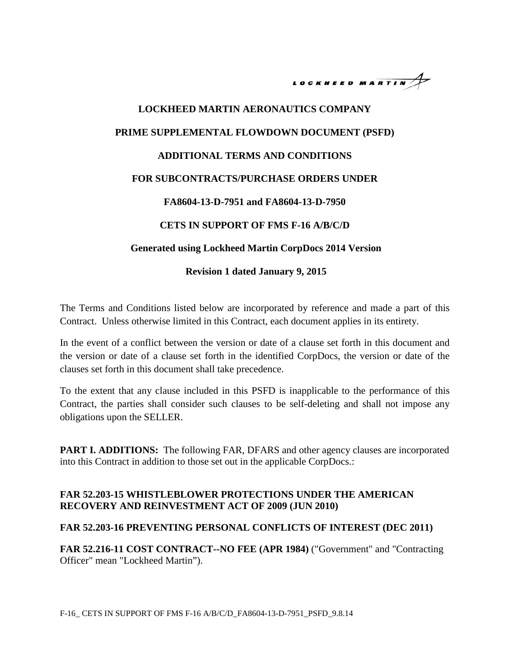

# **LOCKHEED MARTIN AERONAUTICS COMPANY PRIME SUPPLEMENTAL FLOWDOWN DOCUMENT (PSFD) ADDITIONAL TERMS AND CONDITIONS FOR SUBCONTRACTS/PURCHASE ORDERS UNDER FA8604-13-D-7951 and FA8604-13-D-7950 CETS IN SUPPORT OF FMS F-16 A/B/C/D Generated using Lockheed Martin CorpDocs 2014 Version**

#### **Revision 1 dated January 9, 2015**

The Terms and Conditions listed below are incorporated by reference and made a part of this Contract. Unless otherwise limited in this Contract, each document applies in its entirety.

In the event of a conflict between the version or date of a clause set forth in this document and the version or date of a clause set forth in the identified CorpDocs, the version or date of the clauses set forth in this document shall take precedence.

To the extent that any clause included in this PSFD is inapplicable to the performance of this Contract, the parties shall consider such clauses to be self-deleting and shall not impose any obligations upon the SELLER.

**PART I. ADDITIONS:** The following FAR, DFARS and other agency clauses are incorporated into this Contract in addition to those set out in the applicable CorpDocs.:

#### **FAR 52.203-15 WHISTLEBLOWER PROTECTIONS UNDER THE AMERICAN RECOVERY AND REINVESTMENT ACT OF 2009 (JUN 2010)**

#### **FAR 52.203-16 PREVENTING PERSONAL CONFLICTS OF INTEREST (DEC 2011)**

**FAR 52.216-11 COST CONTRACT--NO FEE (APR 1984)** ("Government" and "Contracting Officer" mean "Lockheed Martin").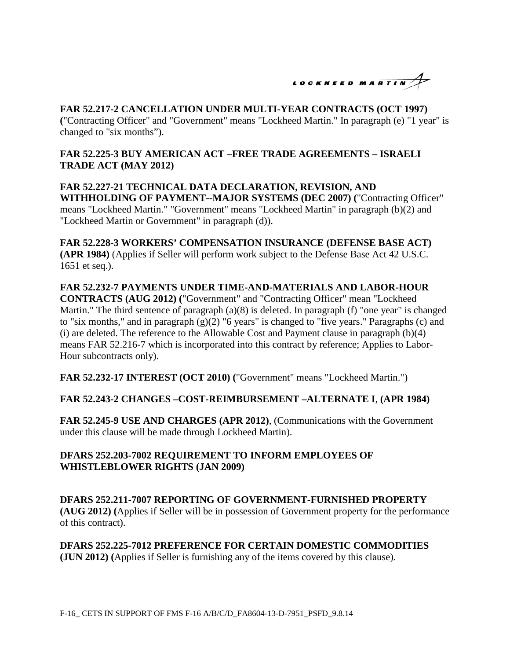

# **FAR 52.217-2 CANCELLATION UNDER MULTI-YEAR CONTRACTS (OCT 1997)**

**(**"Contracting Officer" and "Government" means "Lockheed Martin." In paragraph (e) "1 year" is changed to "six months").

# **FAR 52.225-3 BUY AMERICAN ACT –FREE TRADE AGREEMENTS – ISRAELI TRADE ACT (MAY 2012)**

**FAR 52.227-21 TECHNICAL DATA DECLARATION, REVISION, AND WITHHOLDING OF PAYMENT--MAJOR SYSTEMS (DEC 2007) (**"Contracting Officer" means "Lockheed Martin." "Government" means "Lockheed Martin" in paragraph (b)(2) and "Lockheed Martin or Government" in paragraph (d)).

**FAR 52.228-3 WORKERS' COMPENSATION INSURANCE (DEFENSE BASE ACT) (APR 1984)** (Applies if Seller will perform work subject to the Defense Base Act 42 U.S.C. 1651 et seq.).

**FAR 52.232-7 PAYMENTS UNDER TIME-AND-MATERIALS AND LABOR-HOUR CONTRACTS (AUG 2012) (**"Government" and "Contracting Officer" mean "Lockheed Martin." The third sentence of paragraph (a)(8) is deleted. In paragraph (f) "one year" is changed to "six months," and in paragraph (g)(2) "6 years" is changed to "five years." Paragraphs (c) and (i) are deleted. The reference to the Allowable Cost and Payment clause in paragraph (b)(4) means FAR 52.216-7 which is incorporated into this contract by reference; Applies to Labor-Hour subcontracts only).

**FAR 52.232-17 INTEREST (OCT 2010) (**"Government" means "Lockheed Martin.")

# **FAR 52.243-2 CHANGES –COST-REIMBURSEMENT –ALTERNATE I**, **(APR 1984)**

**FAR 52.245-9 USE AND CHARGES (APR 2012)**, (Communications with the Government under this clause will be made through Lockheed Martin).

# **DFARS 252.203-7002 REQUIREMENT TO INFORM EMPLOYEES OF WHISTLEBLOWER RIGHTS (JAN 2009)**

**DFARS 252.211-7007 REPORTING OF GOVERNMENT-FURNISHED PROPERTY (AUG 2012) (**Applies if Seller will be in possession of Government property for the performance of this contract).

**DFARS 252.225-7012 PREFERENCE FOR CERTAIN DOMESTIC COMMODITIES (JUN 2012) (**Applies if Seller is furnishing any of the items covered by this clause).